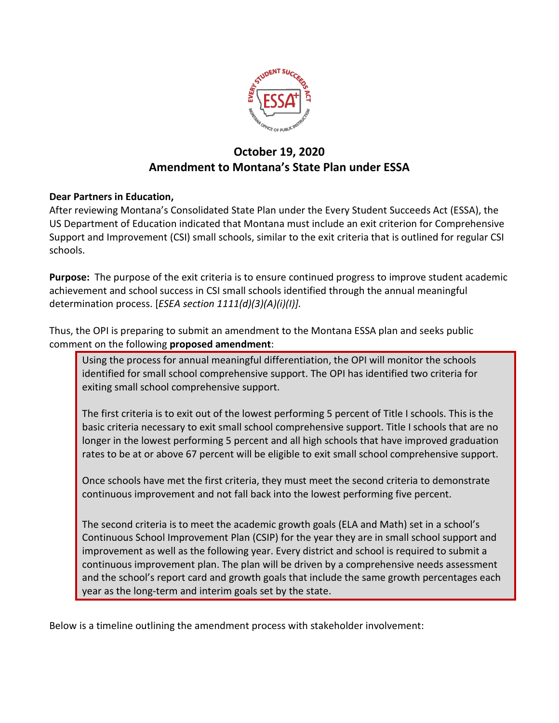

## **October 19, 2020 Amendment to Montana's State Plan under ESSA**

## **Dear Partners in Education,**

After reviewing Montana's Consolidated State Plan under the Every Student Succeeds Act (ESSA), the US Department of Education indicated that Montana must include an exit criterion for Comprehensive Support and Improvement (CSI) small schools, similar to the exit criteria that is outlined for regular CSI schools.

**Purpose:** The purpose of the exit criteria is to ensure continued progress to improve student academic achievement and school success in CSI small schools identified through the annual meaningful determination process. [*ESEA section 1111(d)(3)(A)(i)(I)].* 

Thus, the OPI is preparing to submit an amendment to the Montana ESSA plan and seeks public comment on the following **proposed amendment**:

Using the process for annual meaningful differentiation, the OPI will monitor the schools identified for small school comprehensive support. The OPI has identified two criteria for exiting small school comprehensive support.

The first criteria is to exit out of the lowest performing 5 percent of Title I schools. This is the basic criteria necessary to exit small school comprehensive support. Title I schools that are no longer in the lowest performing 5 percent and all high schools that have improved graduation rates to be at or above 67 percent will be eligible to exit small school comprehensive support.

Once schools have met the first criteria, they must meet the second criteria to demonstrate continuous improvement and not fall back into the lowest performing five percent.

The second criteria is to meet the academic growth goals (ELA and Math) set in a school's Continuous School Improvement Plan (CSIP) for the year they are in small school support and improvement as well as the following year. Every district and school is required to submit a continuous improvement plan. The plan will be driven by a comprehensive needs assessment and the school's report card and growth goals that include the same growth percentages each year as the long-term and interim goals set by the state.

Below is a timeline outlining the amendment process with stakeholder involvement: